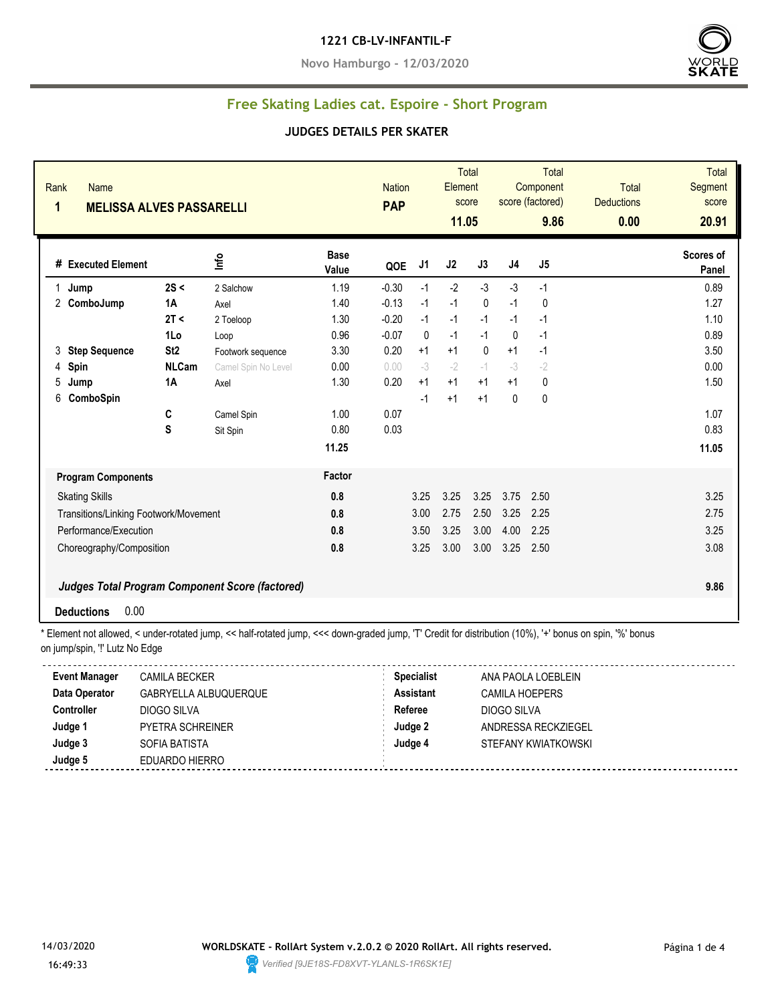#### **1221 CB-LV-INFANTIL-F**

**Novo Hamburgo - 12/03/2020**



### **Free Skating Ladies cat. Espoire - Short Program**

#### **JUDGES DETAILS PER SKATER**

| 1 | Rank<br>Name<br><b>MELISSA ALVES PASSARELLI</b> |                 |                                                        |                      |         | <b>Nation</b><br><b>PAP</b> |      | <b>Total</b><br>Element<br>score<br>11.05 | <b>Total</b><br>Component<br>score (factored)<br>9.86 |           | <b>Total</b><br><b>Deductions</b><br>0.00 | <b>Total</b><br>Segment<br>score<br>20.91 |
|---|-------------------------------------------------|-----------------|--------------------------------------------------------|----------------------|---------|-----------------------------|------|-------------------------------------------|-------------------------------------------------------|-----------|-------------------------------------------|-------------------------------------------|
|   | # Executed Element                              |                 | lnfo                                                   | <b>Base</b><br>Value | QOE     | J <sub>1</sub>              | J2   | J3                                        | J4                                                    | J5        |                                           | Scores of<br>Panel                        |
| 1 | Jump                                            | 2S <            | 2 Salchow                                              | 1.19                 | $-0.30$ | $-1$                        | $-2$ | $-3$                                      | $-3$                                                  | $-1$      |                                           | 0.89                                      |
|   | 2 ComboJump                                     | <b>1A</b>       | Axel                                                   | 1.40                 | $-0.13$ | $-1$                        | $-1$ | 0                                         | $-1$                                                  | 0         |                                           | 1.27                                      |
|   |                                                 | 2T <            | 2 Toeloop                                              | 1.30                 | $-0.20$ | $-1$                        | $-1$ | $-1$                                      | $-1$                                                  | $-1$      |                                           | 1.10                                      |
|   |                                                 | 1Lo             | Loop                                                   | 0.96                 | $-0.07$ | $\mathbf{0}$                | $-1$ | $-1$                                      | 0                                                     | $-1$      |                                           | 0.89                                      |
| 3 | <b>Step Sequence</b>                            | St <sub>2</sub> | Footwork sequence                                      | 3.30                 | 0.20    | $+1$                        | $+1$ | $\mathbf{0}$                              | $+1$                                                  | $-1$      |                                           | 3.50                                      |
| 4 | Spin                                            | <b>NLCam</b>    | Camel Spin No Level                                    | 0.00                 | 0.00    | $-3$                        | $-2$ | $-1$                                      | $-3$                                                  | $-2$      |                                           | 0.00                                      |
| 5 | Jump                                            | 1A              | Axel                                                   | 1.30                 | 0.20    | $+1$                        | $+1$ | $+1$                                      | $+1$                                                  | 0         |                                           | 1.50                                      |
| 6 | ComboSpin                                       |                 |                                                        |                      |         | $-1$                        | $+1$ | $+1$                                      | $\mathbf{0}$                                          | $\pmb{0}$ |                                           |                                           |
|   |                                                 | C               | Camel Spin                                             | 1.00                 | 0.07    |                             |      |                                           |                                                       |           |                                           | 1.07                                      |
|   |                                                 | S               | Sit Spin                                               | 0.80                 | 0.03    |                             |      |                                           |                                                       |           |                                           | 0.83                                      |
|   |                                                 |                 |                                                        | 11.25                |         |                             |      |                                           |                                                       |           |                                           | 11.05                                     |
|   | <b>Program Components</b>                       |                 |                                                        | Factor               |         |                             |      |                                           |                                                       |           |                                           |                                           |
|   | <b>Skating Skills</b>                           |                 |                                                        | 0.8                  |         | 3.25                        | 3.25 | 3.25                                      | 3.75                                                  | 2.50      |                                           | 3.25                                      |
|   | Transitions/Linking Footwork/Movement           |                 |                                                        | 0.8                  |         | 3.00                        | 2.75 | 2.50                                      | 3.25                                                  | 2.25      |                                           | 2.75                                      |
|   | Performance/Execution                           |                 |                                                        | 0.8                  |         | 3.50                        | 3.25 | 3.00                                      | 4.00                                                  | 2.25      |                                           | 3.25                                      |
|   | Choreography/Composition                        |                 |                                                        | 0.8                  |         | 3.25                        | 3.00 | 3.00                                      | 3.25                                                  | 2.50      |                                           | 3.08                                      |
|   |                                                 |                 | <b>Judges Total Program Component Score (factored)</b> |                      |         |                             |      |                                           |                                                       |           |                                           | 9.86                                      |
|   | 0.00<br><b>Deductions</b>                       |                 |                                                        |                      |         |                             |      |                                           |                                                       |           |                                           |                                           |

\* Element not allowed, < under-rotated jump, << half-rotated jump, <<< down-graded jump, 'T' Credit for distribution (10%), '+' bonus on spin, '%' bonus on jump/spin, '!' Lutz No Edge

| <b>Event Manager</b> | CAMILA BECKER           | <b>Specialist</b> | ANA PAOLA LOEBLEIN  |  |
|----------------------|-------------------------|-------------------|---------------------|--|
| Data Operator        | GABRYELLA ALBUQUERQUE   | <b>Assistant</b>  | CAMILA HOEPERS      |  |
| Controller           | DIOGO SILVA             | Referee           | DIOGO SILVA         |  |
| Judge 1              | <b>PYETRA SCHREINER</b> | Judge 2           | ANDRESSA RECKZIEGEL |  |
| Judge 3              | SOFIA BATISTA           | Judge 4           | STEFANY KWIATKOWSKI |  |
| Judge 5              | EDUARDO HIERRO          |                   |                     |  |

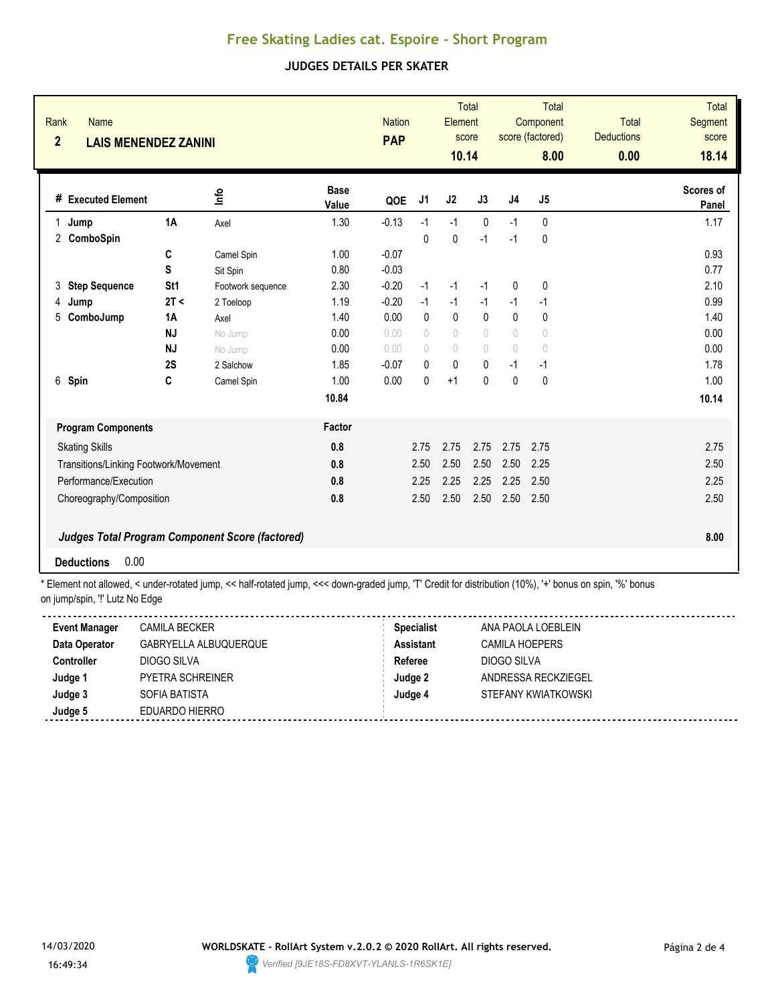# **Free Skating Ladies cat. Espoire - Short Program**

### **JUDGES DETAILS PER SKATER**

| $\overline{2}$ | Rank<br><b>Name</b><br><b>LAIS MENENDEZ ZANINI</b> |                 |                                                        |                      |         | <b>Nation</b><br><b>PAP</b> |                                  | <b>Total</b><br>Element<br>score<br>10.14 | <b>Total</b><br>Component<br>score (factored)<br>8.00 |             | <b>Total</b><br><b>Deductions</b><br>0.00 | <b>Total</b><br>Segment<br>score<br>18.14 |
|----------------|----------------------------------------------------|-----------------|--------------------------------------------------------|----------------------|---------|-----------------------------|----------------------------------|-------------------------------------------|-------------------------------------------------------|-------------|-------------------------------------------|-------------------------------------------|
|                | # Executed Element                                 |                 | 울                                                      | <b>Base</b><br>Value | QOE     | J <sub>1</sub>              | J2                               | J3                                        | J <sub>4</sub>                                        | J5          |                                           | <b>Scores of</b><br>Panel                 |
| 1.             | Jump                                               | 1A              | Axel                                                   | 1.30                 | $-0.13$ | $-1$                        | $-1$                             | $\mathbf{0}$                              | $-1$                                                  | 0           |                                           | 1.17                                      |
| 2              | ComboSpin                                          |                 |                                                        |                      |         | $\mathbf{0}$                | $\mathbf 0$                      | $-1$                                      | $-1$                                                  | $\mathbf 0$ |                                           |                                           |
|                |                                                    | C               | Camel Spin                                             | 1.00                 | $-0.07$ |                             |                                  |                                           |                                                       |             |                                           | 0.93                                      |
|                |                                                    | S               | Sit Spin                                               | 0.80                 | $-0.03$ |                             |                                  |                                           |                                                       |             |                                           | 0.77                                      |
| 3              | <b>Step Sequence</b>                               | St <sub>1</sub> | Footwork sequence                                      | 2.30                 | $-0.20$ | $-1$                        | $-1$                             | $-1$                                      | 0                                                     | 0           |                                           | 2.10                                      |
| 4              | Jump                                               | 2T <            | 2 Toeloop                                              | 1.19                 | $-0.20$ | $-1$                        | $-1$                             | $-1$                                      | $-1$                                                  | $-1$        |                                           | 0.99                                      |
| 5              | ComboJump                                          | <b>1A</b>       | Axel                                                   | 1.40                 | 0.00    | $\Omega$                    | $\mathbf 0$                      | $\mathbf{0}$                              | $\Omega$                                              | 0           |                                           | 1.40                                      |
|                |                                                    | <b>NJ</b>       | No Jump                                                | 0.00                 | 0.00    | $\bigcirc$                  | $\begin{array}{c} \n\end{array}$ | $\circ$                                   | 0                                                     | 0           |                                           | 0.00                                      |
|                |                                                    | <b>NJ</b>       | No Jump                                                | 0.00                 | 0.00    | $\bigcirc$                  | 0                                | $\begin{array}{c} \n\end{array}$          | $\begin{array}{c} \n\end{array}$                      | 0           |                                           | 0.00                                      |
|                |                                                    | 2S              | 2 Salchow                                              | 1.85                 | $-0.07$ | 0                           | $\mathbf{0}$                     | $\mathbf{0}$                              | $-1$                                                  | $-1$        |                                           | 1.78                                      |
|                | 6 Spin                                             | C               | Camel Spin                                             | 1.00                 | 0.00    | 0                           | $+1$                             | $\mathbf{0}$                              | $\mathbf{0}$                                          | 0           |                                           | 1.00                                      |
|                |                                                    |                 |                                                        | 10.84                |         |                             |                                  |                                           |                                                       |             |                                           | 10.14                                     |
|                | <b>Program Components</b>                          |                 |                                                        | Factor               |         |                             |                                  |                                           |                                                       |             |                                           |                                           |
|                | <b>Skating Skills</b>                              |                 |                                                        | 0.8                  |         | 2.75                        | 2.75                             | 2.75                                      | 2.75                                                  | 2.75        |                                           | 2.75                                      |
|                | Transitions/Linking Footwork/Movement              |                 |                                                        | 0.8                  |         | 2.50                        | 2.50                             | 2.50                                      | 2.50                                                  | 2.25        |                                           | 2.50                                      |
|                | Performance/Execution                              |                 |                                                        | 0.8                  |         | 2.25                        | 2.25                             | 2.25                                      | 2.25                                                  | 2.50        |                                           | 2.25                                      |
|                | Choreography/Composition                           |                 |                                                        | 0.8                  |         | 2.50                        | 2.50                             | 2.50                                      | 2.50                                                  | 2.50        |                                           | 2.50                                      |
|                | 0.00<br><b>Deductions</b>                          |                 | <b>Judges Total Program Component Score (factored)</b> |                      |         |                             |                                  |                                           |                                                       |             |                                           | 8.00                                      |

\* Element not allowed, < under-rotated jump, << half-rotated jump, <<< down-graded jump, 'T' Credit for distribution (10%), '+' bonus on spin, '%' bonus on jump/spin, "!' Lutz No Edge

| <b>Event Manager</b> | <b>CAMILA BECKER</b>  | <b>Specialist</b> | ANA PAOLA LOEBLEIN  |
|----------------------|-----------------------|-------------------|---------------------|
| Data Operator        | GABRYELLA ALBUQUERQUE | <b>Assistant</b>  | CAMILA HOEPERS      |
| <b>Controller</b>    | DIOGO SILVA           | Referee           | DIOGO SILVA         |
| Judge 1              | PYETRA SCHREINER      | Judge 2           | ANDRESSA RECKZIEGEL |
| Judge 3              | SOFIA BATISTA         | Judge 4           | STEFANY KWIATKOWSKI |
| Judge 5              | EDUARDO HIERRO        |                   |                     |

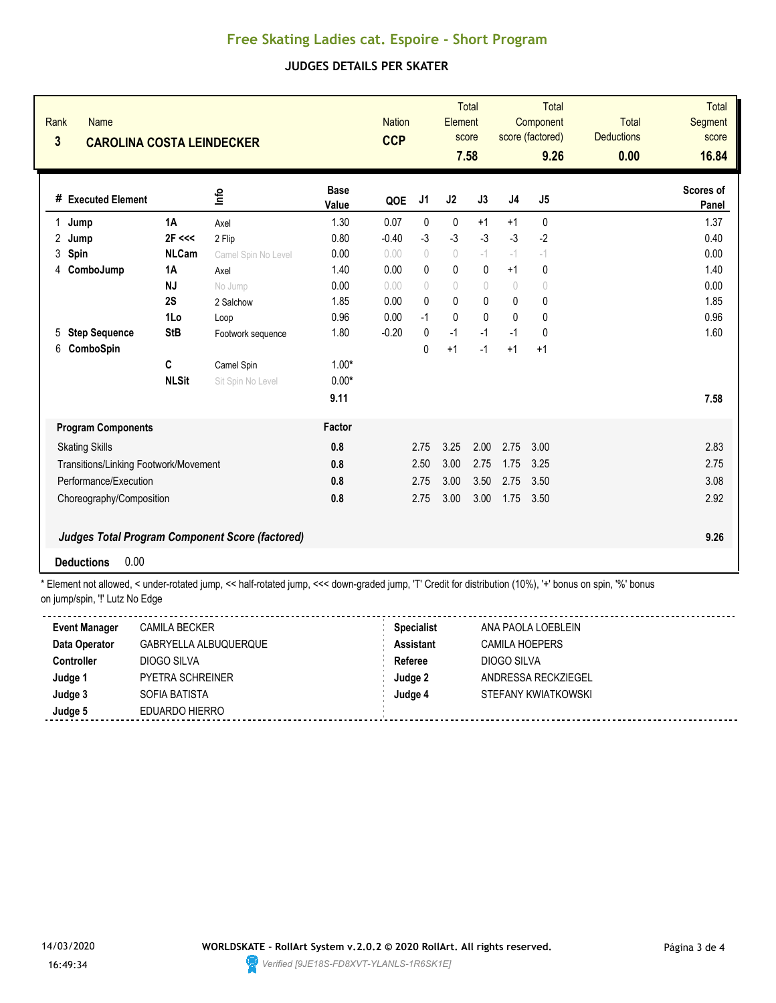# **Free Skating Ladies cat. Espoire - Short Program**

### **JUDGES DETAILS PER SKATER**

| Rank<br>3 | <b>Name</b><br><b>CAROLINA COSTA LEINDECKER</b> |                   |                                                        |                      |         | <b>Nation</b><br><b>CCP</b>      |                                  | <b>Total</b><br>Element<br>score<br>7.58 | Total<br>Component<br>score (factored)<br>9.26 |                | Total<br><b>Deductions</b><br>0.00 | <b>Total</b><br>Segment<br>score<br>16.84 |
|-----------|-------------------------------------------------|-------------------|--------------------------------------------------------|----------------------|---------|----------------------------------|----------------------------------|------------------------------------------|------------------------------------------------|----------------|------------------------------------|-------------------------------------------|
|           | # Executed Element                              |                   | ۴ų                                                     | <b>Base</b><br>Value | QOE     | J <sub>1</sub>                   | J2                               | J3                                       | J <sub>4</sub>                                 | J <sub>5</sub> |                                    | Scores of<br>Panel                        |
| 1         | Jump                                            | 1A                | Axel                                                   | 1.30                 | 0.07    | 0                                | $\mathbf 0$                      | $+1$                                     | $+1$                                           | 0              |                                    | 1.37                                      |
| 2         | Jump                                            | 2F <<             | 2 Flip                                                 | 0.80                 | $-0.40$ | $-3$                             | $-3$                             | $-3$                                     | $-3$                                           | $-2$           |                                    | 0.40                                      |
| 3         | Spin                                            | <b>NLCam</b>      | Camel Spin No Level                                    | 0.00                 | 0.00    | $\circ$                          | $\begin{array}{c} \n\end{array}$ | $-1$                                     | $-1$                                           | $ \mid$        |                                    | 0.00                                      |
| 4         | ComboJump                                       | 1A                | Axel                                                   | 1.40                 | 0.00    | $\mathbf{0}$                     | 0                                | $\mathbf{0}$                             | $+1$                                           | 0              |                                    | 1.40                                      |
|           |                                                 | <b>NJ</b>         | No Jump                                                | 0.00                 | 0.00    | $\begin{array}{c} \n\end{array}$ | $\begin{array}{c} \n\end{array}$ | $\begin{array}{c} \n\end{array}$         | $\sqrt{2}$                                     | 0              |                                    | 0.00                                      |
|           |                                                 | 2S                | 2 Salchow                                              | 1.85                 | 0.00    | $\Omega$                         | $\pmb{0}$                        | $\mathbf{0}$                             | $\mathbf{0}$                                   | 0              |                                    | 1.85                                      |
|           |                                                 | 1Lo               | Loop                                                   | 0.96                 | 0.00    | $-1$                             | $\mathbf{0}$                     | $\mathbf{0}$                             | 0                                              | 0              |                                    | 0.96                                      |
| 5         | <b>Step Sequence</b>                            | <b>StB</b>        | Footwork sequence                                      | 1.80                 | $-0.20$ | $\mathbf{0}$                     | $-1$                             | $-1$                                     | $-1$                                           | 0              |                                    | 1.60                                      |
| 6         | ComboSpin                                       | C<br><b>NLSit</b> | Camel Spin<br>Sit Spin No Level                        | $1.00*$<br>$0.00*$   |         | $\mathbf{0}$                     | $+1$                             | $-1$                                     | $+1$                                           | $+1$           |                                    |                                           |
|           |                                                 |                   |                                                        | 9.11                 |         |                                  |                                  |                                          |                                                |                |                                    | 7.58                                      |
|           | <b>Program Components</b>                       |                   |                                                        | Factor               |         |                                  |                                  |                                          |                                                |                |                                    |                                           |
|           | <b>Skating Skills</b>                           |                   |                                                        | 0.8                  |         | 2.75                             | 3.25                             | 2.00                                     | 2.75                                           | 3.00           |                                    | 2.83                                      |
|           | Transitions/Linking Footwork/Movement           |                   |                                                        | 0.8                  |         | 2.50                             | 3.00                             | 2.75                                     | 1.75                                           | 3.25           |                                    | 2.75                                      |
|           | Performance/Execution<br>0.8                    |                   |                                                        |                      |         | 2.75                             | 3.00                             | 3.50                                     | 2.75                                           | 3.50           |                                    | 3.08                                      |
|           | Choreography/Composition                        |                   |                                                        | 0.8                  |         | 2.75                             | 3.00                             | 3.00                                     | 1.75                                           | 3.50           |                                    | 2.92                                      |
|           |                                                 |                   | <b>Judges Total Program Component Score (factored)</b> |                      |         |                                  |                                  |                                          |                                                |                |                                    | 9.26                                      |
|           | 0.00<br><b>Deductions</b>                       |                   |                                                        |                      |         |                                  |                                  |                                          |                                                |                |                                    |                                           |

\* Element not allowed, < under-rotated jump, << half-rotated jump, <<< down-graded jump, 'T' Credit for distribution (10%), '+' bonus on spin, '%' bonus on jump/spin, "!' Lutz No Edge

| <b>Event Manager</b> | <b>CAMILA BECKER</b>  | <b>Specialist</b> | ANA PAOLA LOEBLEIN  |
|----------------------|-----------------------|-------------------|---------------------|
| Data Operator        | GABRYELLA ALBUQUERQUE | <b>Assistant</b>  | CAMILA HOEPERS      |
| <b>Controller</b>    | DIOGO SILVA           | Referee           | DIOGO SILVA         |
| Judge 1              | PYETRA SCHREINER      | Judge 2           | ANDRESSA RECKZIEGEL |
| Judge 3              | SOFIA BATISTA         | Judge 4           | STEFANY KWIATKOWSKI |
| Judge 5              | EDUARDO HIERRO        |                   |                     |